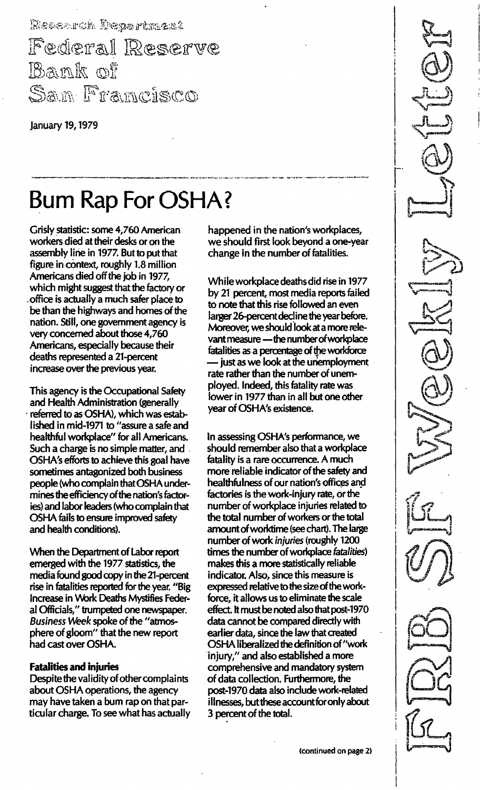Research Department Federal Reserve Bank of San Framcisco

January 19, 1979

# Bum Rap For OSHA?

Grisly statistic: some 4,760 American workers died at their desks or on the assembly line in 1977. But to put that figure in context, roughly 1.8 million Americans died off the job in 1977, which might suggest that the factory or . office is actually a much safer place to be than the highways and homes of the nation. Still, one government agency is very concerned about those 4,760 Americans, especially because their deaths represented a 21-percent increase over the previous year.

This agency is the Occupational Safety and Health Administration (generally referred to as OSHA), which was established in mid-1971 to "assure a safe and healthful workplace" for all Americans. Such a charge is no simple matter, and . OSHA's efforts to achieve this goal have sometimes antagonized both business people (who complain that OSHA undermines the efficiency of the nation's factories) and labor leaders (who complain that OSHA fails to ensure improved safety and health conditions).

When the Department of Labor report emerged with the 1977 statistics, the media found good copy in the 21-percent rise in fatalities reported for the year. "Big Increase in Work Deaths Mystifies Federal Officials," trumpeted one newspaper. Business Week spoke of the "atmosphere of gloom" that the new report had cast over OSHA.

### Fatalities and injuries

Despite the validity of other complaints about OSHA operations, the agency may have taken a bum rap on that particular charge. To see what has actually happened in the nation's workplaces, we should first look beyond a one-year change in the number of fatalities.

While workplace deaths did rise in 1977 by 21 percent, most media reports failed to note that this rise followed an even larger 26-percent decline the year before. Moreover, we should look at a more relevant measure - the number of workplace fatalities as a percentage of the workforce - just as we look at the unemployment rate rather than the number of unemployed. Indeed, this fatality rate was lower in 1977 than in all but one other year of OSHA's existence.

In assessing OSHA's performance, we should remember also that a workplace fatality is a rare occurrence. A much more reliable indicator of the safety and healthfulness of our nation's offices and factories is the work-injury rate, or the number of workplace injuries related to the total number of workers or the total amount of worktime (see chart). The large number of work injuries (roughly 1200 times the number of workplace fatalities) makes this a more statistically reliable indicator. Also, since this measure is expressed relative to the size of the workforce, it allows us to eliminate the scale effect. It must be noted also that post-1970 data cannot be compared directly with earlier data, since the law that created OSHA liberalized the definition of "work injury," and also established a more comprehensive and mandatory system of data collection. Furthermore, the post-1970 data also include work-related illnesses, but these account for only about 3 percent of the total.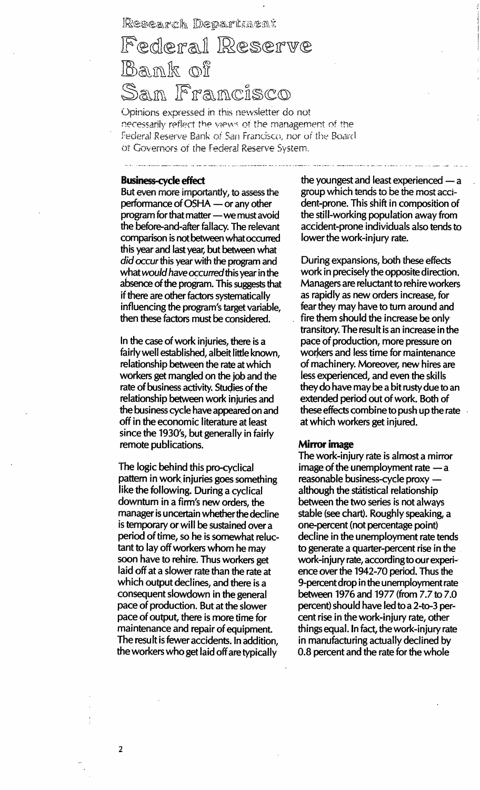### Research Department

## Federal Reserve Bank of San Francisco

Opinions expressed in this newsletter do not necessarily reflect the views of the management of the Federal Reserve Bank of San Francisco, nor of the Board of Governors of the Federal Reserve System.

#### 8usiness-cyde effect

But even more importantly, to assess the performance of  $OSHA$  - or any other program for that matter  $-$  we must avoid the before-and-after fallacy. The relevant comparison is not between what occurred this year and last year, but between what did occur this year with the program and what would have occurred this year in the absence of the program. This suggests that if there are other factors systematically influencing the program's target variable, then these factors must be considered.

In the case of work injuries, there is a fairly well established, albeit little known, relationship between the rate at which workers get mangled on the job and the rate of business activity. Studies of the relationship between work injuries and the business cycle have appeared on and off in the economic literature at least since the 1930's, but generally in fairly remote publications.

The logic behind this pro-cyclical pattern in work injuries goes something like the following. During a cyclical downturn in a firm's new orders, the manager is uncertain whether the decline is temporary or will be sustained over a period of time, so he is somewhat reluctant to layoff workers whom he may soon have to rehire. Thus workers get laid off at a slower rate than the rate at which output declines, and there is a consequent slowdown in the general pace of production. But at the slower pace of output, there is more time for maintenance and repair of equipment. The result is fewer accidents. In addition, the workers who get laid off are typically

the youngest and least experienced  $-$  a group which tends to be the most accident-prone. This shift in composition of the still-working population away from accident-prone individuals also tends to lower the work-injury rate.

During expansions, both these effects work in precisely the opposite direction. Managers are reluctant to rehire workers as rapidly as new orders increase, for fear they may have to turn around and fire them should the increase be only transitory. The result is an increase in the pace of production, more pressure on workers and less time for maintenance of machinery. Moreover, new hires are less experienced, and even the skills they do have may be a bit rusty due to an extended period out of work. Both of these effects combine to push up the rate at which workers get injured.

#### Mirror image

The work-injury rate is almost a mirror image of the unemployment rate  $-$  a reasonable business-cycle proxy although the statistical relationship between the two series is not always stable (see chart). Roughly speaking, a one-percent (not percentage point) decline in the unemployment rate tends to generate a quarter-percent rise in the work-injury rate, according to our experience over the 1942-70 period. Thus the 9-percent drop in the unemployment rate between 1976 and 1977 (from 7.7 to 7.0 percent) should have led to a 2-to-3 percent rise in the work-injury rate, other things equal. In fact, the work-injury rate in manufacturing actually declined by 0.8 percent and the rate for the whole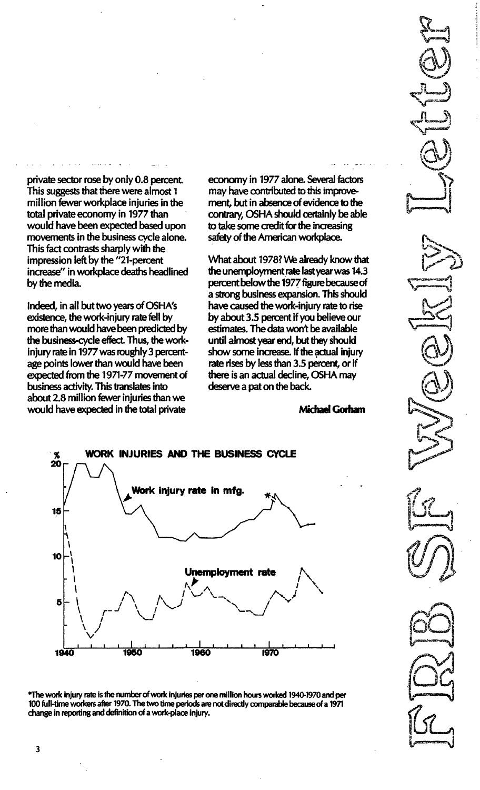

private sector rose by only 0.8 percent. This suggests that there were almost 1 million fewer workplace injuries in the total private economy in 1977 than would have been expected based upon movements in the business cycle alone. This fact contrasts sharply with the impression left by the "21-percent increase" in workplace deaths headlined by the media.

Indeed, in all but two years of OSHA's existence, the work-injury rate fell by more than would have been predicted by the business-cycle effect. Thus, the workinjury rate in 1977 was roughly 3 percentage points lower than would have been expected from the 1971-77 movement of business activity. This translates into about 2.8 million fewer injuries than we would have expected in the total private

economy in 1977 alone. Several factors may have contributed to this improvement, but in absence of evidence to the contrary, OSHA should certainly be able to take some credit for the increasing safety of the American workplace.

What about 1978? We already know that the unemployment rate last year was 14.3 percent below the 1977 figure because of a strong business expansion. This should have caused the work-injury rate to rise by about 3.5 percent if you believe our estimates. The data won't be available until almost year end, but they should show some increase. If the actual injury rate rises by less than 3.5 percent, or if there is an actual decline, OSHA may deserve a pat on the back.

Michael Gorham



<sup>\*</sup>The work injury rate is the number of work injuries per one million hours worked 1940-1970 and per 100 full-time workers after 1970. The two time periods are not directly comparable because of a 1971 change in reporting and definition of a work-place injury.